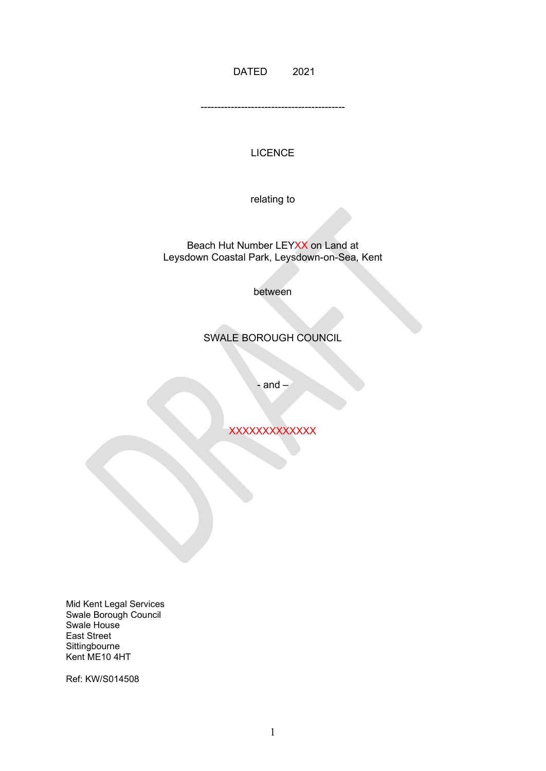DATED 2021

-------------------------------------------

### **LICENCE**

relating to

#### Beach Hut Number LEYXX on Land at Leysdown Coastal Park, Leysdown-on-Sea, Kent

between

# SWALE BOROUGH COUNCIL

- and  $-$ 

**XXXXXXXXXXXX** 

Mid Kent Legal Services Swale Borough Council Swale House East Street **Sittingbourne** Kent ME10 4HT

Ref: KW/S014508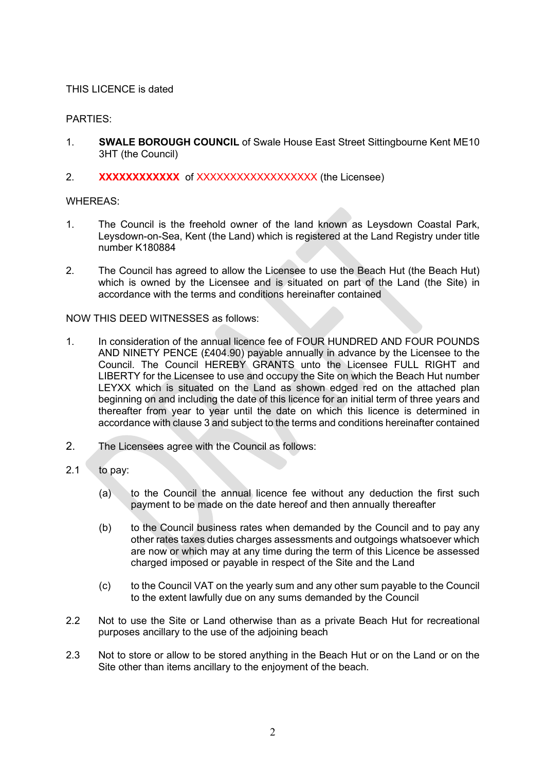### THIS LICENCE is dated

## PARTIES:

- 1. **SWALE BOROUGH COUNCIL** of Swale House East Street Sittingbourne Kent ME10 3HT (the Council)
- 2. **XXXXXXXXXXXX** of XXXXXXXXXXXXXXXXXXXX (the Licensee)

### WHEREAS:

- 1. The Council is the freehold owner of the land known as Leysdown Coastal Park, Leysdown-on-Sea, Kent (the Land) which is registered at the Land Registry under title number K180884
- 2. The Council has agreed to allow the Licensee to use the Beach Hut (the Beach Hut) which is owned by the Licensee and is situated on part of the Land (the Site) in accordance with the terms and conditions hereinafter contained

### NOW THIS DEED WITNESSES as follows:

- 1. In consideration of the annual licence fee of FOUR HUNDRED AND FOUR POUNDS AND NINETY PENCE (£404.90) payable annually in advance by the Licensee to the Council. The Council HEREBY GRANTS unto the Licensee FULL RIGHT and LIBERTY for the Licensee to use and occupy the Site on which the Beach Hut number LEYXX which is situated on the Land as shown edged red on the attached plan beginning on and including the date of this licence for an initial term of three years and thereafter from year to year until the date on which this licence is determined in accordance with clause 3 and subject to the terms and conditions hereinafter contained
- 2. The Licensees agree with the Council as follows:
- $2.1$  to pay:
	- (a) to the Council the annual licence fee without any deduction the first such payment to be made on the date hereof and then annually thereafter
	- (b) to the Council business rates when demanded by the Council and to pay any other rates taxes duties charges assessments and outgoings whatsoever which are now or which may at any time during the term of this Licence be assessed charged imposed or payable in respect of the Site and the Land
	- (c) to the Council VAT on the yearly sum and any other sum payable to the Council to the extent lawfully due on any sums demanded by the Council
- 2.2 Not to use the Site or Land otherwise than as a private Beach Hut for recreational purposes ancillary to the use of the adjoining beach
- 2.3 Not to store or allow to be stored anything in the Beach Hut or on the Land or on the Site other than items ancillary to the enjoyment of the beach.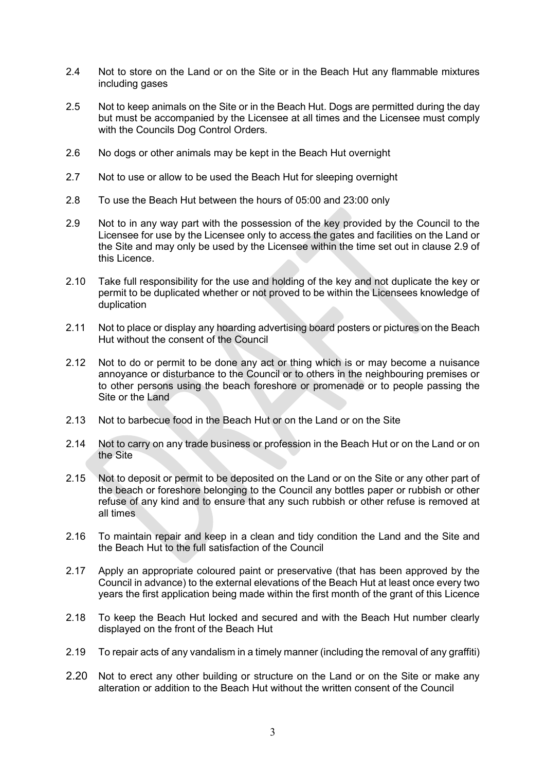- 2.4 Not to store on the Land or on the Site or in the Beach Hut any flammable mixtures including gases
- 2.5 Not to keep animals on the Site or in the Beach Hut. Dogs are permitted during the day but must be accompanied by the Licensee at all times and the Licensee must comply with the Councils Dog Control Orders.
- 2.6 No dogs or other animals may be kept in the Beach Hut overnight
- 2.7 Not to use or allow to be used the Beach Hut for sleeping overnight
- 2.8 To use the Beach Hut between the hours of 05:00 and 23:00 only
- 2.9 Not to in any way part with the possession of the key provided by the Council to the Licensee for use by the Licensee only to access the gates and facilities on the Land or the Site and may only be used by the Licensee within the time set out in clause 2.9 of this Licence.
- 2.10 Take full responsibility for the use and holding of the key and not duplicate the key or permit to be duplicated whether or not proved to be within the Licensees knowledge of duplication
- 2.11 Not to place or display any hoarding advertising board posters or pictures on the Beach Hut without the consent of the Council
- 2.12 Not to do or permit to be done any act or thing which is or may become a nuisance annoyance or disturbance to the Council or to others in the neighbouring premises or to other persons using the beach foreshore or promenade or to people passing the Site or the Land
- 2.13 Not to barbecue food in the Beach Hut or on the Land or on the Site
- 2.14 Not to carry on any trade business or profession in the Beach Hut or on the Land or on the Site
- 2.15 Not to deposit or permit to be deposited on the Land or on the Site or any other part of the beach or foreshore belonging to the Council any bottles paper or rubbish or other refuse of any kind and to ensure that any such rubbish or other refuse is removed at all times
- 2.16 To maintain repair and keep in a clean and tidy condition the Land and the Site and the Beach Hut to the full satisfaction of the Council
- 2.17 Apply an appropriate coloured paint or preservative (that has been approved by the Council in advance) to the external elevations of the Beach Hut at least once every two years the first application being made within the first month of the grant of this Licence
- 2.18 To keep the Beach Hut locked and secured and with the Beach Hut number clearly displayed on the front of the Beach Hut
- 2.19 To repair acts of any vandalism in a timely manner (including the removal of any graffiti)
- 2.20 Not to erect any other building or structure on the Land or on the Site or make any alteration or addition to the Beach Hut without the written consent of the Council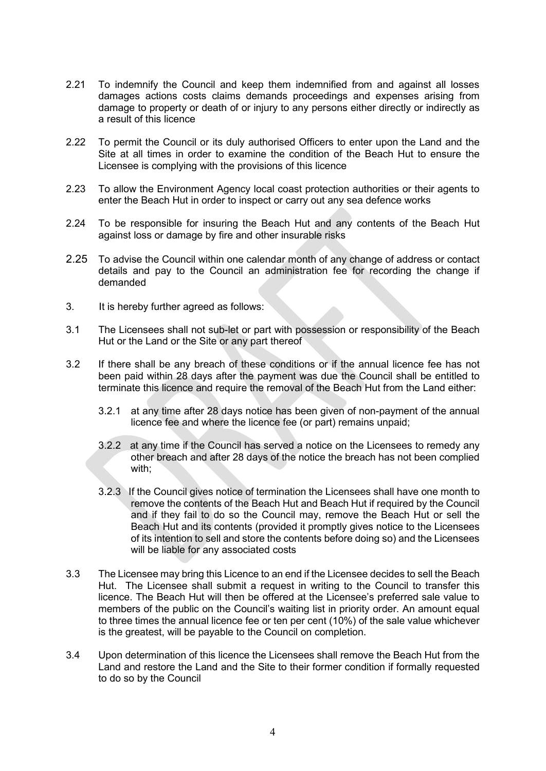- 2.21 To indemnify the Council and keep them indemnified from and against all losses damages actions costs claims demands proceedings and expenses arising from damage to property or death of or injury to any persons either directly or indirectly as a result of this licence
- 2.22 To permit the Council or its duly authorised Officers to enter upon the Land and the Site at all times in order to examine the condition of the Beach Hut to ensure the Licensee is complying with the provisions of this licence
- 2.23 To allow the Environment Agency local coast protection authorities or their agents to enter the Beach Hut in order to inspect or carry out any sea defence works
- 2.24 To be responsible for insuring the Beach Hut and any contents of the Beach Hut against loss or damage by fire and other insurable risks
- 2.25 To advise the Council within one calendar month of any change of address or contact details and pay to the Council an administration fee for recording the change if demanded
- 3. It is hereby further agreed as follows:
- 3.1 The Licensees shall not sub-let or part with possession or responsibility of the Beach Hut or the Land or the Site or any part thereof
- 3.2 If there shall be any breach of these conditions or if the annual licence fee has not been paid within 28 days after the payment was due the Council shall be entitled to terminate this licence and require the removal of the Beach Hut from the Land either:
	- 3.2.1 at any time after 28 days notice has been given of non-payment of the annual licence fee and where the licence fee (or part) remains unpaid;
	- 3.2.2 at any time if the Council has served a notice on the Licensees to remedy any other breach and after 28 days of the notice the breach has not been complied with;
	- 3.2.3 If the Council gives notice of termination the Licensees shall have one month to remove the contents of the Beach Hut and Beach Hut if required by the Council and if they fail to do so the Council may, remove the Beach Hut or sell the Beach Hut and its contents (provided it promptly gives notice to the Licensees of its intention to sell and store the contents before doing so) and the Licensees will be liable for any associated costs
- 3.3 The Licensee may bring this Licence to an end if the Licensee decides to sell the Beach Hut. The Licensee shall submit a request in writing to the Council to transfer this licence. The Beach Hut will then be offered at the Licensee's preferred sale value to members of the public on the Council's waiting list in priority order. An amount equal to three times the annual licence fee or ten per cent (10%) of the sale value whichever is the greatest, will be payable to the Council on completion.
- 3.4 Upon determination of this licence the Licensees shall remove the Beach Hut from the Land and restore the Land and the Site to their former condition if formally requested to do so by the Council